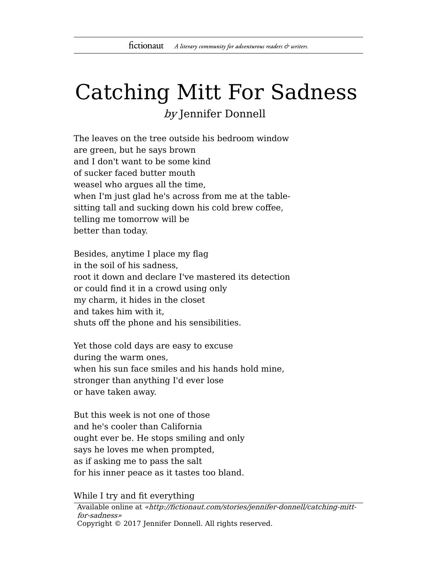## Catching Mitt For Sadness by Jennifer Donnell

The leaves on the tree outside his bedroom window are green, but he says brown and I don't want to be some kind of sucker faced butter mouth weasel who argues all the time, when I'm just glad he's across from me at the tablesitting tall and sucking down his cold brew coffee, telling me tomorrow will be better than today.

Besides, anytime I place my flag in the soil of his sadness, root it down and declare I've mastered its detection or could find it in a crowd using only my charm, it hides in the closet and takes him with it, shuts off the phone and his sensibilities.

Yet those cold days are easy to excuse during the warm ones, when his sun face smiles and his hands hold mine, stronger than anything I'd ever lose or have taken away.

But this week is not one of those and he's cooler than California ought ever be. He stops smiling and only says he loves me when prompted, as if asking me to pass the salt for his inner peace as it tastes too bland.

While I try and fit everything

Available online at «http://fictionaut.com/stories/jennifer-donnell/catching-mittfor-sadness» Copyright © 2017 Jennifer Donnell. All rights reserved.